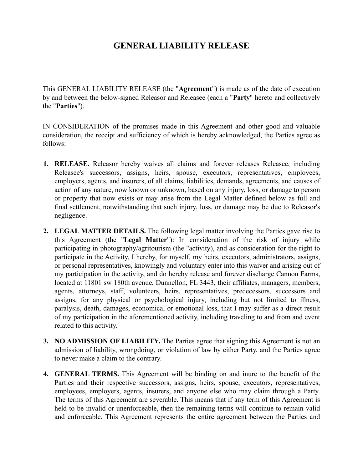# **GENERAL LIABILITY RELEASE**

This GENERAL LIABILITY RELEASE (the "**Agreement**") is made as of the date of execution by and between the below-signed Releasor and Releasee (each a "**Party**" hereto and collectively the "**Parties**").

IN CONSIDERATION of the promises made in this Agreement and other good and valuable consideration, the receipt and sufficiency of which is hereby acknowledged, the Parties agree as follows:

- **1. RELEASE.** Releasor hereby waives all claims and forever releases Releasee, including Releasee's successors, assigns, heirs, spouse, executors, representatives, employees, employers, agents, and insurers, of all claims, liabilities, demands, agreements, and causes of action of any nature, now known or unknown, based on any injury, loss, or damage to person or property that now exists or may arise from the Legal Matter defined below as full and final settlement, notwithstanding that such injury, loss, or damage may be due to Releasor's negligence.
- **2. LEGAL MATTER DETAILS.** The following legal matter involving the Parties gave rise to this Agreement (the "**Legal Matter**"): In consideration of the risk of injury while participating in photography/agritourism (the "activity), and as consideration for the right to participate in the Activity, I hereby, for myself, my heirs, executors, administrators, assigns, or personal representatives, knowingly and voluntary enter into this waiver and arising out of my participation in the activity, and do hereby release and forever discharge Cannon Farms, located at 11801 sw 180th avenue, Dunnellon, FL 3443, their affiliates, managers, members, agents, attorneys, staff, volunteers, heirs, representatives, predecessors, successors and assigns, for any physical or psychological injury, including but not limited to illness, paralysis, death, damages, economical or emotional loss, that I may suffer as a direct result of my participation in the aforementioned activity, including traveling to and from and event related to this activity.
- **3. NO ADMISSION OF LIABILITY.** The Parties agree that signing this Agreement is not an admission of liability, wrongdoing, or violation of law by either Party, and the Parties agree to never make a claim to the contrary.
- **4. GENERAL TERMS.** This Agreement will be binding on and inure to the benefit of the Parties and their respective successors, assigns, heirs, spouse, executors, representatives, employees, employers, agents, insurers, and anyone else who may claim through a Party. The terms of this Agreement are severable. This means that if any term of this Agreement is held to be invalid or unenforceable, then the remaining terms will continue to remain valid and enforceable. This Agreement represents the entire agreement between the Parties and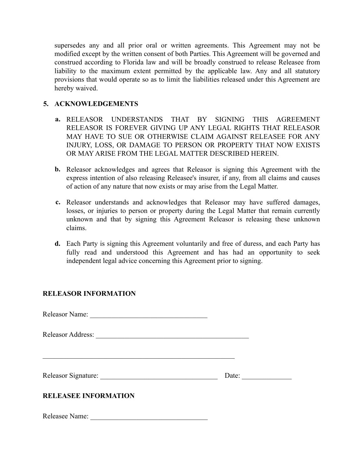supersedes any and all prior oral or written agreements. This Agreement may not be modified except by the written consent of both Parties. This Agreement will be governed and construed according to Florida law and will be broadly construed to release Releasee from liability to the maximum extent permitted by the applicable law. Any and all statutory provisions that would operate so as to limit the liabilities released under this Agreement are hereby waived.

## **5. ACKNOWLEDGEMENTS**

- **a.** RELEASOR UNDERSTANDS THAT BY SIGNING THIS AGREEMENT RELEASOR IS FOREVER GIVING UP ANY LEGAL RIGHTS THAT RELEASOR MAY HAVE TO SUE OR OTHERWISE CLAIM AGAINST RELEASEE FOR ANY INJURY, LOSS, OR DAMAGE TO PERSON OR PROPERTY THAT NOW EXISTS OR MAY ARISE FROM THE LEGAL MATTER DESCRIBED HEREIN.
- **b.** Releasor acknowledges and agrees that Releasor is signing this Agreement with the express intention of also releasing Releasee's insurer, if any, from all claims and causes of action of any nature that now exists or may arise from the Legal Matter.
- **c.** Releasor understands and acknowledges that Releasor may have suffered damages, losses, or injuries to person or property during the Legal Matter that remain currently unknown and that by signing this Agreement Releasor is releasing these unknown claims.
- **d.** Each Party is signing this Agreement voluntarily and free of duress, and each Party has fully read and understood this Agreement and has had an opportunity to seek independent legal advice concerning this Agreement prior to signing.

## **RELEASOR INFORMATION**

Releasor Name: \_\_\_\_\_\_\_\_\_\_\_\_\_\_\_\_\_\_\_\_\_\_\_\_\_\_\_\_\_\_\_\_\_

Releasor Address:

\_\_\_\_\_\_\_\_\_\_\_\_\_\_\_\_\_\_\_\_\_\_\_\_\_\_\_\_\_\_\_\_\_\_\_\_\_\_\_\_\_\_\_\_\_\_\_\_\_\_\_\_\_\_

Releasor Signature: \_\_\_\_\_\_\_\_\_\_\_\_\_\_\_\_\_\_\_\_\_\_\_\_\_\_\_\_\_\_\_\_\_ Date: \_\_\_\_\_\_\_\_\_\_\_\_\_\_

## **RELEASEE INFORMATION**

Releasee Name: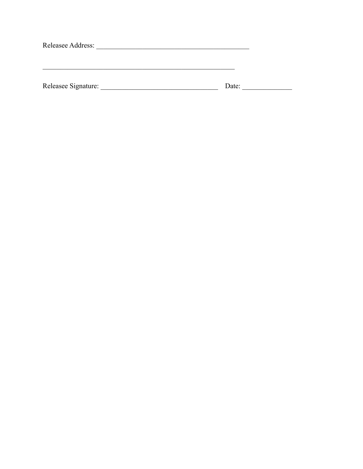| Releasee Address:   |       |  |
|---------------------|-------|--|
|                     |       |  |
|                     |       |  |
|                     |       |  |
| Releasee Signature: | Date: |  |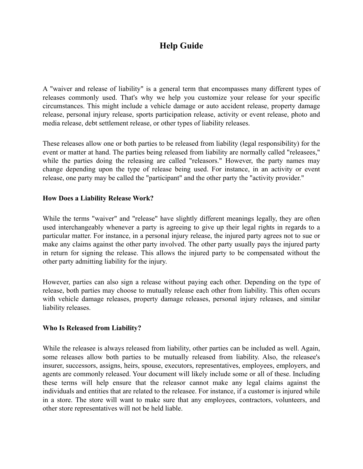# **Help Guide**

A "waiver and release of liability" is a general term that encompasses many different types of releases commonly used. That's why we help you customize your release for your specific circumstances. This might include a vehicle damage or auto accident release, property damage release, personal injury release, sports participation release, activity or event release, photo and media release, debt settlement release, or other types of liability releases.

These releases allow one or both parties to be released from liability (legal responsibility) for the event or matter at hand. The parties being released from liability are normally called "releasees," while the parties doing the releasing are called "releasors." However, the party names may change depending upon the type of release being used. For instance, in an activity or event release, one party may be called the "participant" and the other party the "activity provider."

## **How Does a Liability Release Work?**

While the terms "waiver" and "release" have slightly different meanings legally, they are often used interchangeably whenever a party is agreeing to give up their legal rights in regards to a particular matter. For instance, in a personal injury release, the injured party agrees not to sue or make any claims against the other party involved. The other party usually pays the injured party in return for signing the release. This allows the injured party to be compensated without the other party admitting liability for the injury.

However, parties can also sign a release without paying each other. Depending on the type of release, both parties may choose to mutually release each other from liability. This often occurs with vehicle damage releases, property damage releases, personal injury releases, and similar liability releases.

#### **Who Is Released from Liability?**

While the releasee is always released from liability, other parties can be included as well. Again, some releases allow both parties to be mutually released from liability. Also, the releasee's insurer, successors, assigns, heirs, spouse, executors, representatives, employees, employers, and agents are commonly released. Your document will likely include some or all of these. Including these terms will help ensure that the releasor cannot make any legal claims against the individuals and entities that are related to the releasee. For instance, if a customer is injured while in a store. The store will want to make sure that any employees, contractors, volunteers, and other store representatives will not be held liable.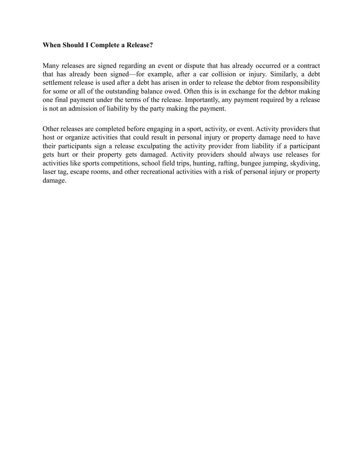#### **When Should I Complete a Release?**

Many releases are signed regarding an event or dispute that has already occurred or a contract that has already been signed—for example, after a car collision or injury. Similarly, a debt settlement release is used after a debt has arisen in order to release the debtor from responsibility for some or all of the outstanding balance owed. Often this is in exchange for the debtor making one final payment under the terms of the release. Importantly, any payment required by a release is not an admission of liability by the party making the payment.

Other releases are completed before engaging in a sport, activity, or event. Activity providers that host or organize activities that could result in personal injury or property damage need to have their participants sign a release exculpating the activity provider from liability if a participant gets hurt or their property gets damaged. Activity providers should always use releases for activities like sports competitions, school field trips, hunting, rafting, bungee jumping, skydiving, laser tag, escape rooms, and other recreational activities with a risk of personal injury or property damage.